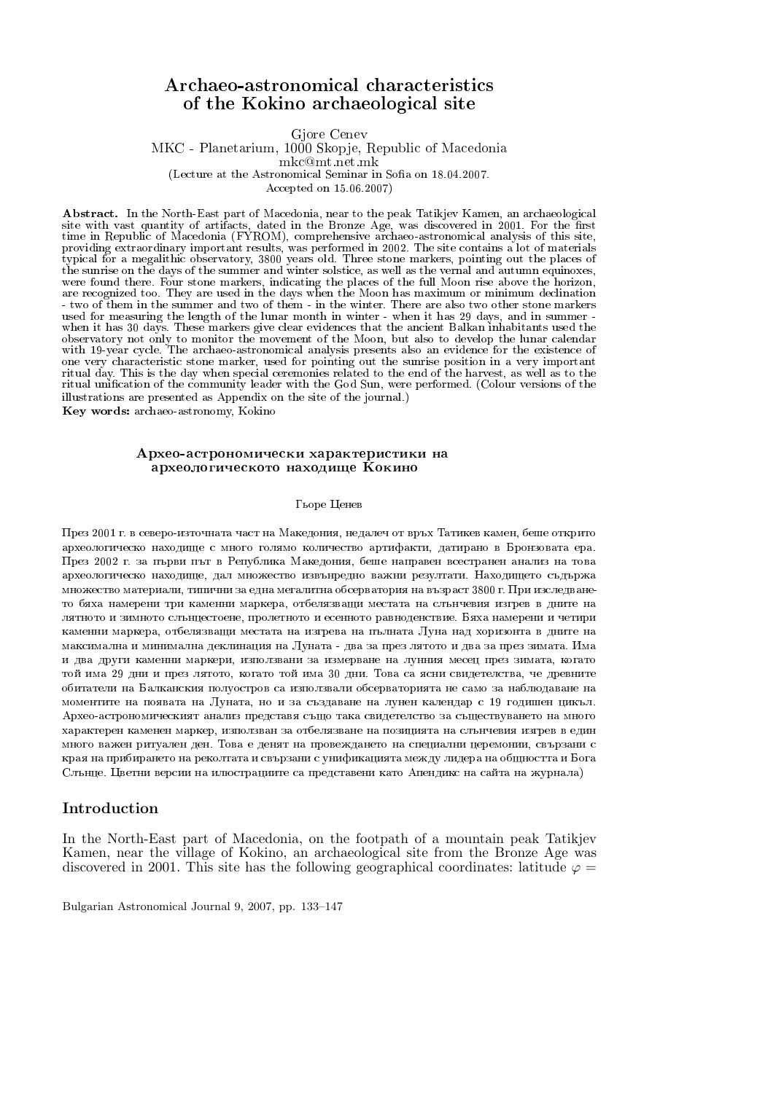# Archaeo-astronomical characteristics of the Kokino archaeological site

Gjore Cenev

MKC - Planetarium, 1000 Skopje, Republic of Macedonia mkc@mt.net.mk (Lecture at the Astronomical Seminar in Sofia on 18.04.2007.

Accepted on 15.06.2007)

Abstract. In the North-East part of Macedonia, near to the peak Tatikjev Kamen, an archaeological site with vast quantity of artifacts, dated in the Bronze Age, was discovered in 2001. For the first time in Republic of Macedonia (FYROM), comprehensive archaeo-astronomical analysis of this site, providing extraordinary important results, was performed in 2002. The site contains a lot of materials typical for a megalithic observatory, 3800 years old. Three stone markers, pointing out the places of the sunrise on the days of the summer and winter solstice, as well as the vernal and autumn equinoxes, were found there. Four stone markers, indicating the places of the full Moon rise above the horizon, are recognized too. They are used in the days when the Moon has maximum or minimum declination - two of them in the summer and two of them - in the winter. There are also two other stone markers used for measuring the length of the lunar month in winter - when it has 29 days, and in summer when it has 30 days. These markers give clear evidences that the ancient Balkan inhabitants used the observatory not only to monitor the movement of the Moon, but also to develop the lunar calendar with 19-year cycle. The archaeo-astronomical analysis presents also an evidence for the existence of one very characteristic stone marker, used for pointing out the sunrise position in a very important ritual day. This is the day when special ceremonies related to the end of the harvest, as well as to the ritual unification of the community leader with the God Sun, were performed. (Colour versions of the illustrations are presented as Appendix on the site of the journal.)

Key words: archaeo-astronomy, Kokino

#### Архео-астрономически характеристики на археологическото находище  $\overline{K}$ окино

#### Гьоре Ценев

През 2001 г. в северо-източната част на Македония, недалеч от връх Татикев камен, беше открито археологическо находище с много голямо количество артифакти, датирано в Бронзовата ера. През 2002 г. за първи път в Република Македония, беше направен всестранен анализ на това археологическо находище, дал множество извънредно важни резултати. Находището съдържа множество материали, типични за една мегалитна обсерватория на възраст 3800 г. При изследването бяха намерени три каменни маркера, отбелязващи местата на слънчевия изгрев в дните на лятното и зимното слънцестоене, пролетното и есенното равноденствие. Бяха намерени и четири каменни маркера, отбелязващи местата на изгрева на пълната Луна над хоризонта в дните на максимална и минимална деклинация на Луната - два за през лятото и два за през зимата. Има и два други каменни маркери, използвани за измерване на лунния месец през зимата, когато той има 29 дни и през лятото, когато той има 30 дни. Това са ясни свидетелства, че древните обитатели на Балканския полуостров са използвали обсерваторията не само за наблюдаване на моментите на появата на Луната, но и за създаване на лунен календар с 19 годишен цикъл. Архео-астрономическият анализ представя също така свидетелство за съществуването на много характерен каменен маркер, използван за отбелязване на позицията на слънчевия изгрев в един много важен ритуален ден. Това е денят на провеждането на специални церемонии, свързани с края на прибирането на реколтата и свързани с унификацията между лидера на общността и Бога Слънце. Цветни версии на илюстрациите са представени като Апендикс на сайта на журнала)

### Introduction

In the North-East part of Macedonia, on the footpath of a mountain peak Tatikjev Kamen, near the village of Kokino, an archaeological site from the Bronze Age was discovered in 2001. This site has the following geographical coordinates: latitude  $\varphi =$ 

Bulgarian Astronomical Journal 9, 2007, pp. 133–147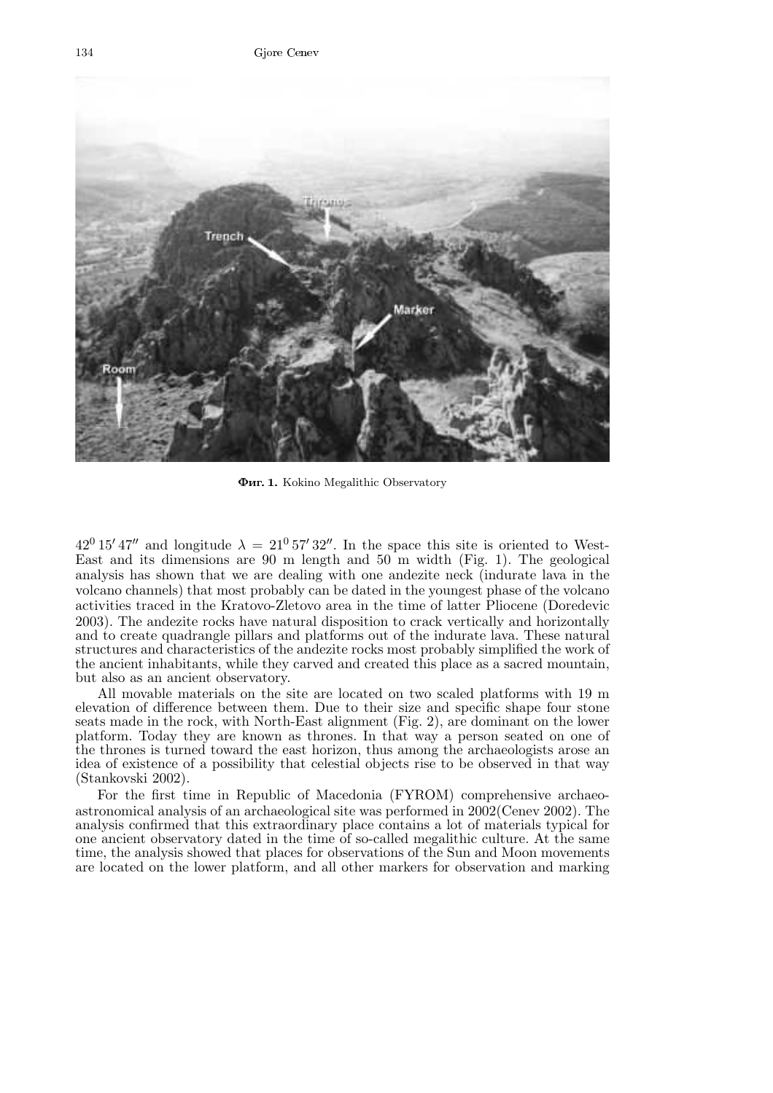

Фиг. 1. Kokino Megalithic Observatory

 $42^0 15' 47''$  and longitude  $\lambda = 21^0 57' 32''$ . In the space this site is oriented to West-East and its dimensions are 90 m length and 50 m width (Fig. 1). The geological analysis has shown that we are dealing with one andezite neck (indurate lava in the volcano channels) that most probably can be dated in the youngest phase of the volcano activities traced in the Kratovo-Zletovo area in the time of latter Pliocene (Doredevic 2003). The andezite rocks have natural disposition to crack vertically and horizontally and to create quadrangle pillars and platforms out of the indurate lava. These natural structures and characteristics of the andezite rocks most probably simplified the work of the ancient inhabitants, while they carved and created this place as a sacred mountain, but also as an ancient observatory.

All movable materials on the site are located on two scaled platforms with 19 m elevation of difference between them. Due to their size and specific shape four stone seats made in the rock, with North-East alignment (Fig. 2), are dominant on the lower platform. Today they are known as thrones. In that way a person seated on one of the thrones is turned toward the east horizon, thus among the archaeologists arose an idea of existence of a possibility that celestial objects rise to be observed in that way (Stankovski 2002).

For the first time in Republic of Macedonia (FYROM) comprehensive archaeoastronomical analysis of an archaeological site was performed in 2002(Cenev 2002). The analysis confirmed that this extraordinary place contains a lot of materials typical for one ancient observatory dated in the time of so-called megalithic culture. At the same time, the analysis showed that places for observations of the Sun and Moon movements are located on the lower platform, and all other markers for observation and marking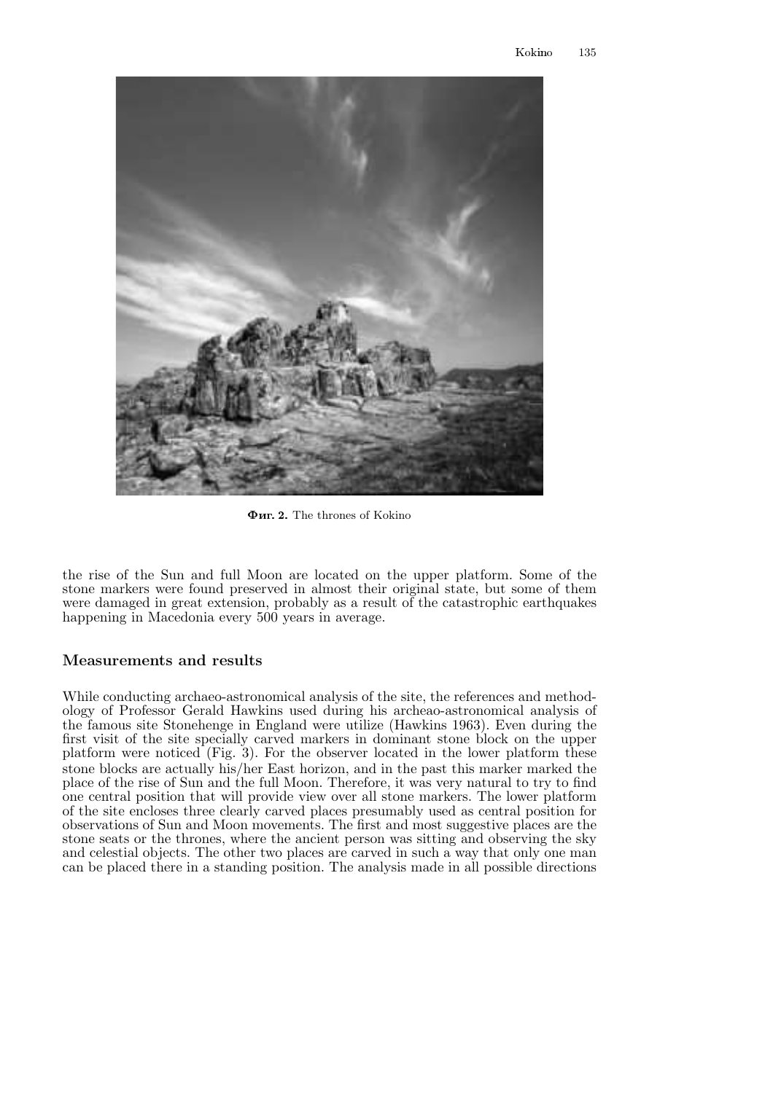

Фиг. 2. The thrones of Kokino

the rise of the Sun and full Moon are located on the upper platform. Some of the stone markers were found preserved in almost their original state, but some of them were damaged in great extension, probably as a result of the catastrophic earthquakes happening in Macedonia every 500 years in average.

## Measurements and results

While conducting archaeo-astronomical analysis of the site, the references and methodology of Professor Gerald Hawkins used during his archeao-astronomical analysis of the famous site Stonehenge in England were utilize (Hawkins 1963). Even during the first visit of the site specially carved markers in dominant stone block on the upper platform were noticed (Fig. 3). For the observer located in the lower platform these stone blocks are actually his/her East horizon, and in the past this marker marked the place of the rise of Sun and the full Moon. Therefore, it was very natural to try to find one central position that will provide view over all stone markers. The lower platform of the site encloses three clearly carved places presumably used as central position for observations of Sun and Moon movements. The first and most suggestive places are the stone seats or the thrones, where the ancient person was sitting and observing the sky and celestial objects. The other two places are carved in such a way that only one man can be placed there in a standing position. The analysis made in all possible directions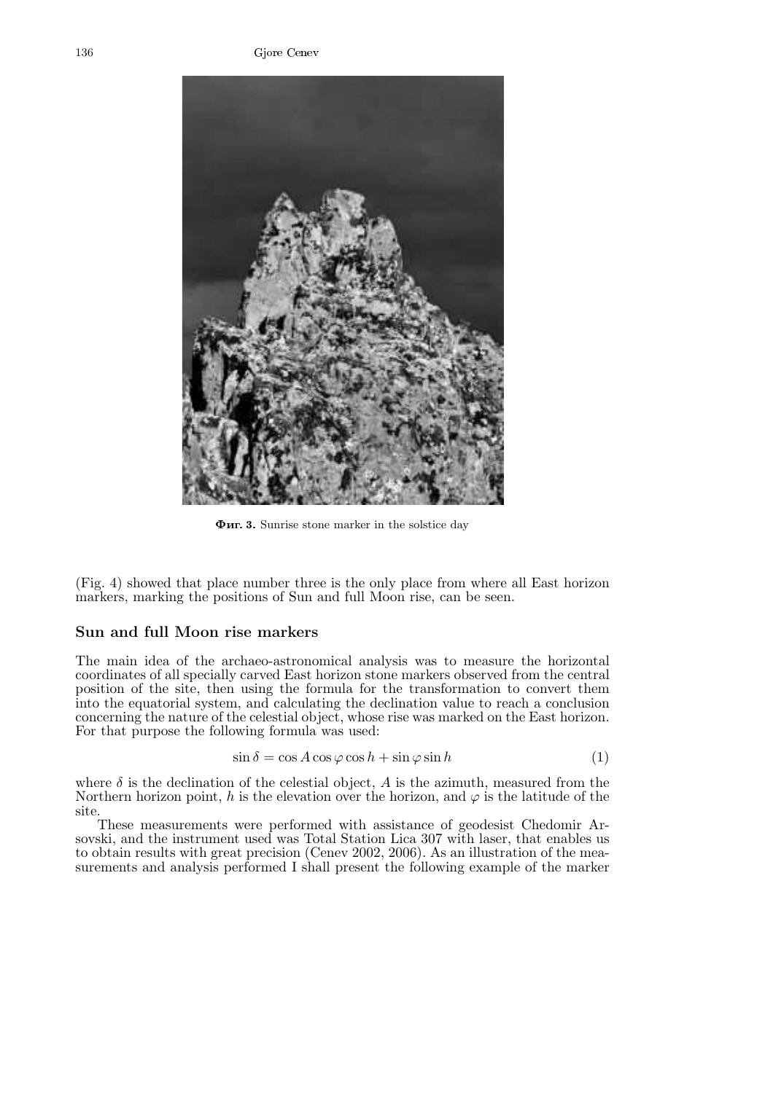

 $\Phi$ <sub>*MT*</sub>. 3. Sunrise stone marker in the solstice day

(Fig. 4) showed that place number three is the only place from where all East horizon markers, marking the positions of Sun and full Moon rise, can be seen.

#### Sun and full Moon rise markers

The main idea of the archaeo-astronomical analysis was to measure the horizontal coordinates of all specially carved East horizon stone markers observed from the central position of the site, then using the formula for the transformation to convert them into the equatorial system, and calculating the declination value to reach a conclusion concerning the nature of the celestial object, whose rise was marked on the East horizon. For that purpose the following formula was used:

$$
\sin \delta = \cos A \cos \varphi \cos h + \sin \varphi \sin h \tag{1}
$$

where  $\delta$  is the declination of the celestial object, A is the azimuth, measured from the Northern horizon point, h is the elevation over the horizon, and  $\varphi$  is the latitude of the site.

These measurements were performed with assistance of geodesist Chedomir Arsovski, and the instrument used was Total Station Lica 307 with laser, that enables us to obtain results with great precision (Cenev 2002, 2006). As an illustration of the measurements and analysis performed I shall present the following example of the marker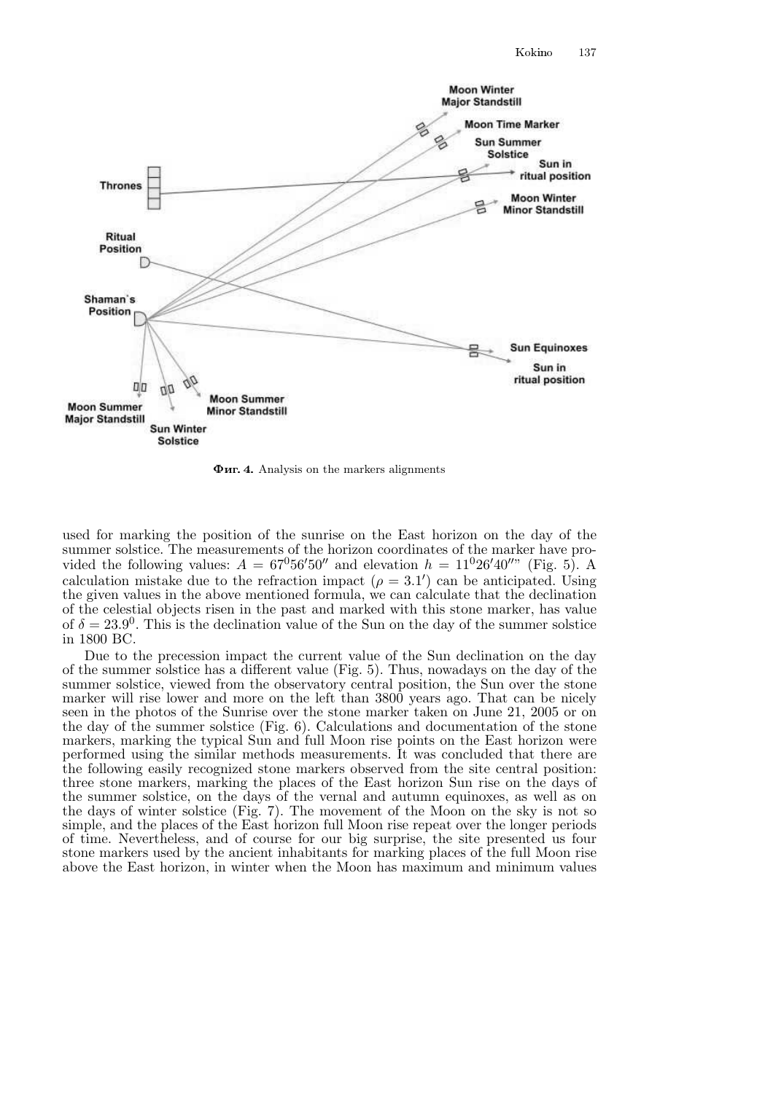

 $\Phi$ <sub>*MT*</sub>. 4. Analysis on the markers alignments

used for marking the position of the sunrise on the East horizon on the day of the summer solstice. The measurements of the horizon coordinates of the marker have provided the following values:  $A = 67^{0}56'50''$  and elevation  $h = 11^{0}26'40'''$  (Fig. 5). A calculation mistake due to the refraction impact  $(\rho = 3.1')$  can be anticipated. Using the given values in the above mentioned formula, we can calculate that the declination of the celestial objects risen in the past and marked with this stone marker, has value of  $\delta = 23.9^{\circ}$ . This is the declination value of the Sun on the day of the summer solstice in 1800 BC.

Due to the precession impact the current value of the Sun declination on the day of the summer solstice has a different value (Fig. 5). Thus, nowadays on the day of the summer solstice, viewed from the observatory central position, the Sun over the stone marker will rise lower and more on the left than 3800 years ago. That can be nicely seen in the photos of the Sunrise over the stone marker taken on June 21, 2005 or on the day of the summer solstice (Fig. 6). Calculations and documentation of the stone markers, marking the typical Sun and full Moon rise points on the East horizon were performed using the similar methods measurements. It was concluded that there are the following easily recognized stone markers observed from the site central position: three stone markers, marking the places of the East horizon Sun rise on the days of the summer solstice, on the days of the vernal and autumn equinoxes, as well as on the days of winter solstice (Fig. 7). The movement of the Moon on the sky is not so simple, and the places of the East horizon full Moon rise repeat over the longer periods of time. Nevertheless, and of course for our big surprise, the site presented us four stone markers used by the ancient inhabitants for marking places of the full Moon rise above the East horizon, in winter when the Moon has maximum and minimum values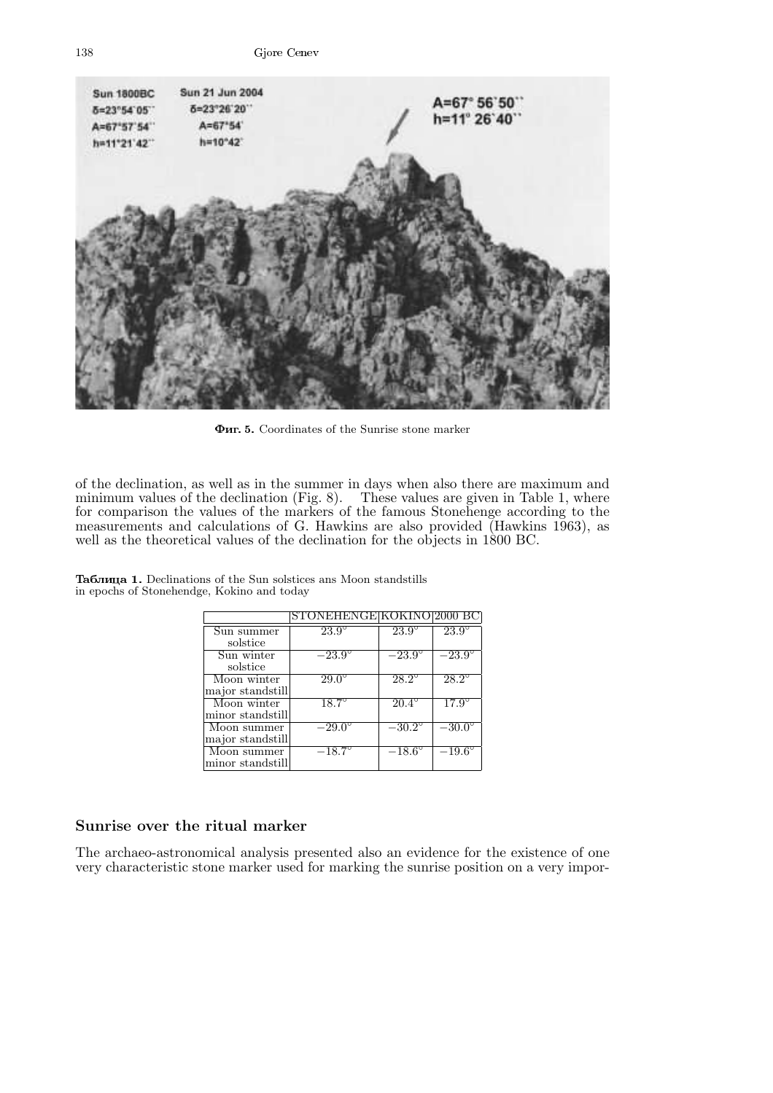

 $\Phi$ <sub>*HT.*</sub> 5. Coordinates of the Sunrise stone marker

of the declination, as well as in the summer in days when also there are maximum and minimum values of the declination (Fig. 8). These values are given in Table 1, where for comparison the values of the markers of the famous Stonehenge according to the measurements and calculations of G. Hawkins are also provided (Hawkins 1963), as well as the theoretical values of the declination for the objects in 1800 BC.

|                                 | STONEHENGE KOKINO         |                 | 2000 BCI                  |
|---------------------------------|---------------------------|-----------------|---------------------------|
| Sun summer<br>solstice          | $23.\overline{9^{\circ}}$ | $23.9^\circ$    | $23.9^\circ$              |
| Sun winter<br>solstice          | $-23.9^{\circ}$           | $-23.9^{\circ}$ | $-23.9^{\circ}$           |
| Moon winter<br>major standstill | $29.0^\circ$              | $28.2^\circ$    | $28.\overline{2^{\circ}}$ |
| Moon winter<br>minor standstill | $18.7^\circ$              | $20.4^\circ$    | $17.9^\circ$              |
| Moon summer<br>major standstill | $-29.0^\circ$             | $-30.2^{\circ}$ | $-30.0^\circ$             |
| Moon summer<br>minor standstill | $-18.7^\circ$             | $-18.6^{\circ}$ | $-19.6^{\circ}$           |

Tаблица 1. Declinations of the Sun solstices ans Moon standstills in epochs of Stonehendge, Kokino and today

# Sunrise over the ritual marker

The archaeo-astronomical analysis presented also an evidence for the existence of one very characteristic stone marker used for marking the sunrise position on a very impor-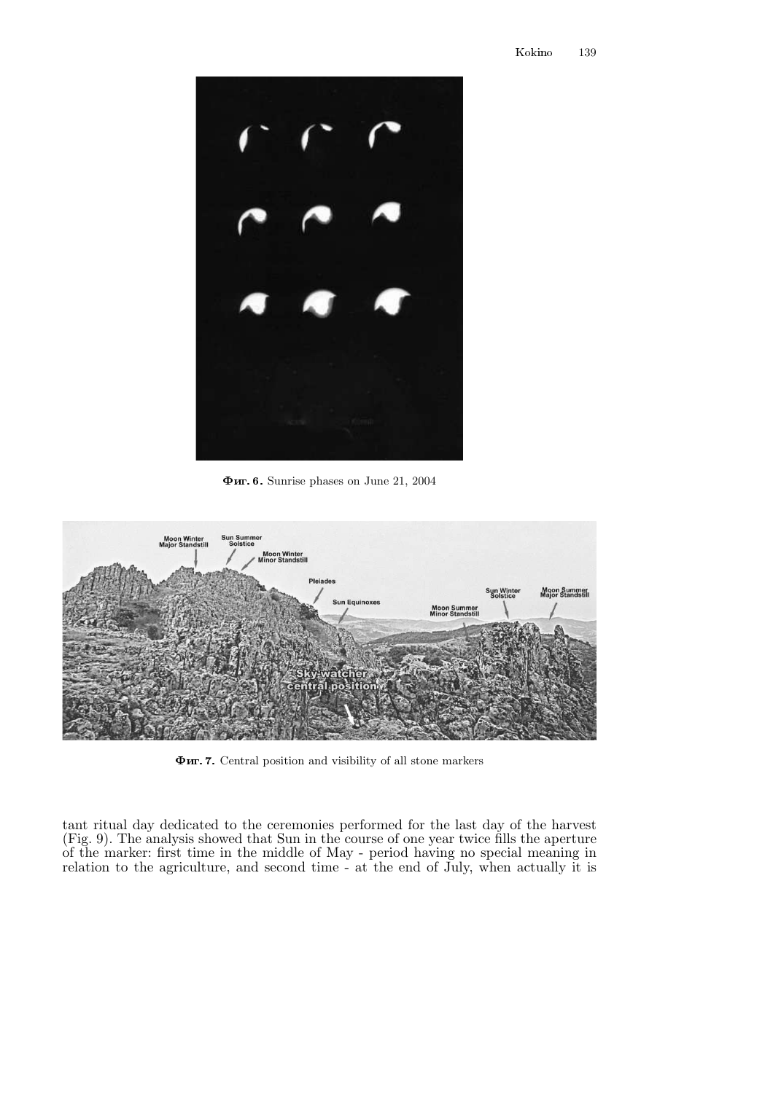

 $\Phi$ <sub>HT</sub>. 6. Sunrise phases on June 21, 2004



 $\Phi$ <sub>HT</sub>. 7. Central position and visibility of all stone markers

tant ritual day dedicated to the ceremonies performed for the last day of the harvest (Fig. 9). The analysis showed that Sun in the course of one year twice fills the aperture of the marker: first time in the middle of May - period having no special meaning in relation to the agriculture, and second time - at the end of July, when actually it is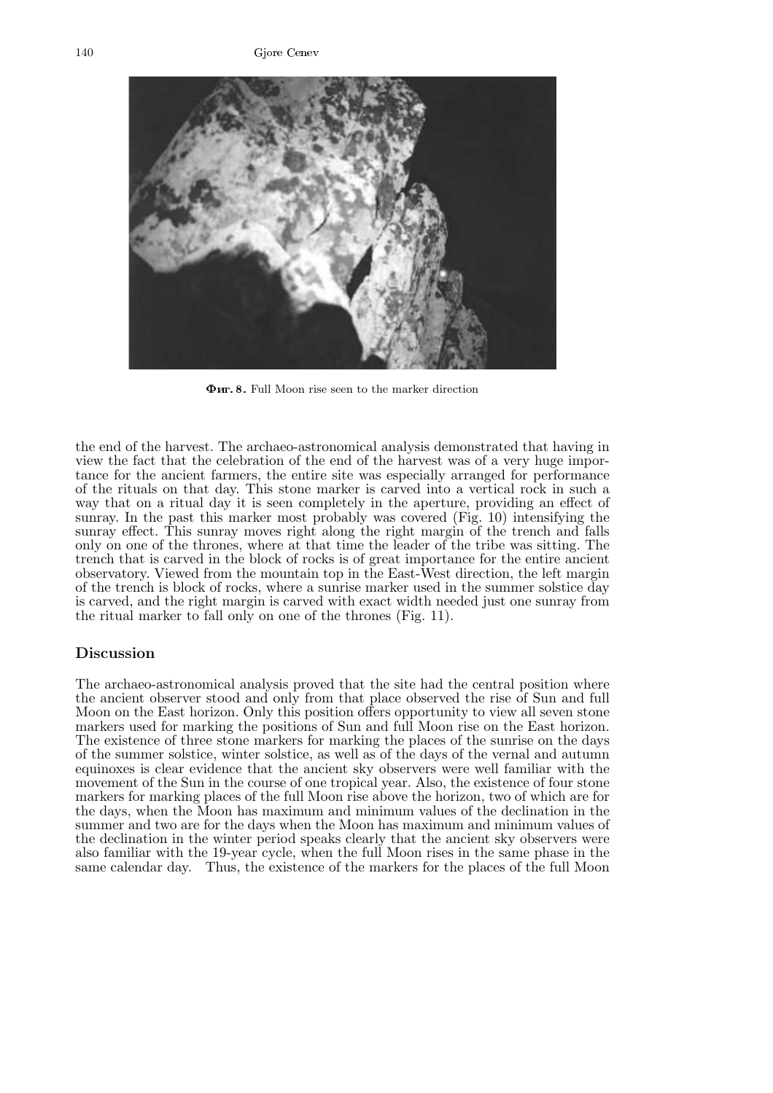

 $\Phi$ <sub>*Mr*</sub>. 8. Full Moon rise seen to the marker direction

the end of the harvest. The archaeo-astronomical analysis demonstrated that having in view the fact that the celebration of the end of the harvest was of a very huge importance for the ancient farmers, the entire site was especially arranged for performance of the rituals on that day. This stone marker is carved into a vertical rock in such a way that on a ritual day it is seen completely in the aperture, providing an effect of sunray. In the past this marker most probably was covered (Fig. 10) intensifying the sunray effect. This sunray moves right along the right margin of the trench and falls only on one of the thrones, where at that time the leader of the tribe was sitting. The trench that is carved in the block of rocks is of great importance for the entire ancient observatory. Viewed from the mountain top in the East-West direction, the left margin of the trench is block of rocks, where a sunrise marker used in the summer solstice day is carved, and the right margin is carved with exact width needed just one sunray from the ritual marker to fall only on one of the thrones (Fig. 11).

### Discussion

The archaeo-astronomical analysis proved that the site had the central position where the ancient observer stood and only from that place observed the rise of Sun and full Moon on the East horizon. Only this position offers opportunity to view all seven stone markers used for marking the positions of Sun and full Moon rise on the East horizon. The existence of three stone markers for marking the places of the sunrise on the days of the summer solstice, winter solstice, as well as of the days of the vernal and autumn equinoxes is clear evidence that the ancient sky observers were well familiar with the movement of the Sun in the course of one tropical year. Also, the existence of four stone markers for marking places of the full Moon rise above the horizon, two of which are for the days, when the Moon has maximum and minimum values of the declination in the summer and two are for the days when the Moon has maximum and minimum values of the declination in the winter period speaks clearly that the ancient sky observers were also familiar with the 19-year cycle, when the full Moon rises in the same phase in the same calendar day. Thus, the existence of the markers for the places of the full Moon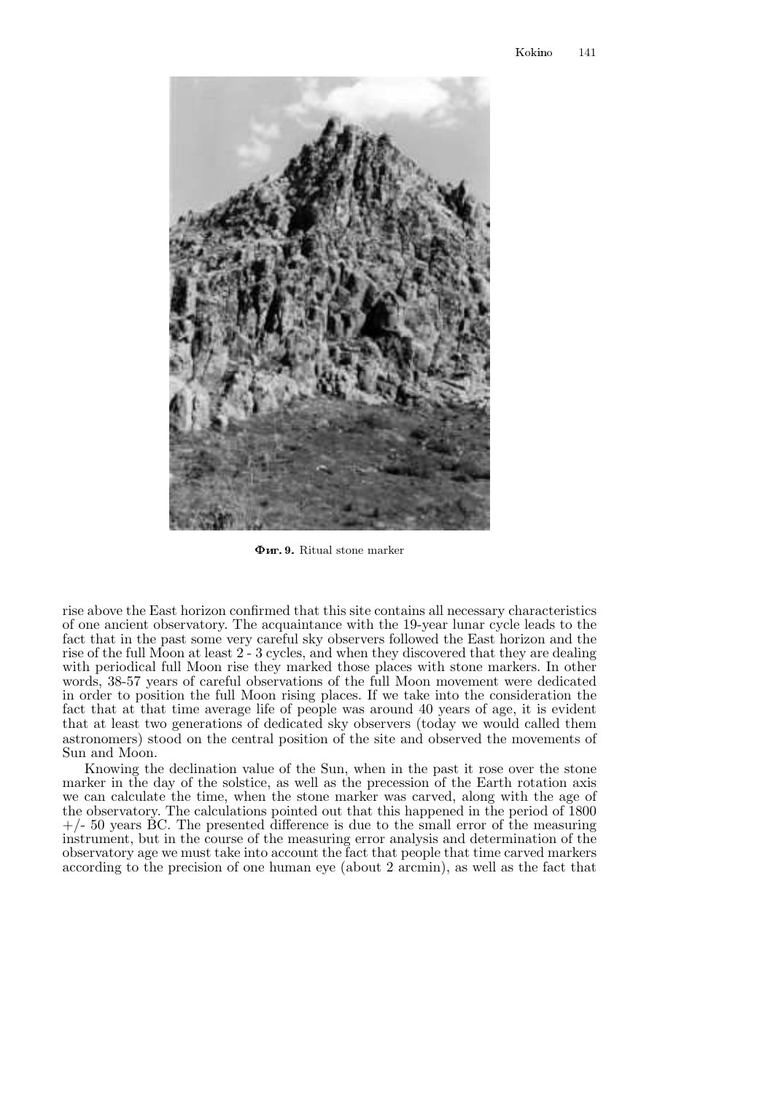

 $\Phi$ <sub>*ur*</sub>. 9. Ritual stone marker

rise above the East horizon confirmed that this site contains all necessary characteristics of one ancient observatory. The acquaintance with the 19-year lunar cycle leads to the fact that in the past some very careful sky observers followed the East horizon and the rise of the full Moon at least 2 - 3 cycles, and when they discovered that they are dealing with periodical full Moon rise they marked those places with stone markers. In other words, 38-57 years of careful observations of the full Moon movement were dedicated in order to position the full Moon rising places. If we take into the consideration the fact that at that time average life of people was around 40 years of age, it is evident that at least two generations of dedicated sky observers (today we would called them astronomers) stood on the central position of the site and observed the movements of Sun and Moon.

Knowing the declination value of the Sun, when in the past it rose over the stone marker in the day of the solstice, as well as the precession of the Earth rotation axis we can calculate the time, when the stone marker was carved, along with the age of the observatory. The calculations pointed out that this happened in the period of 1800  $+/- 50$  years BC. The presented difference is due to the small error of the measuring instrument, but in the course of the measuring error analysis and determination of the observatory age we must take into account the fact that people that time carved markers according to the precision of one human eye (about 2 arcmin), as well as the fact that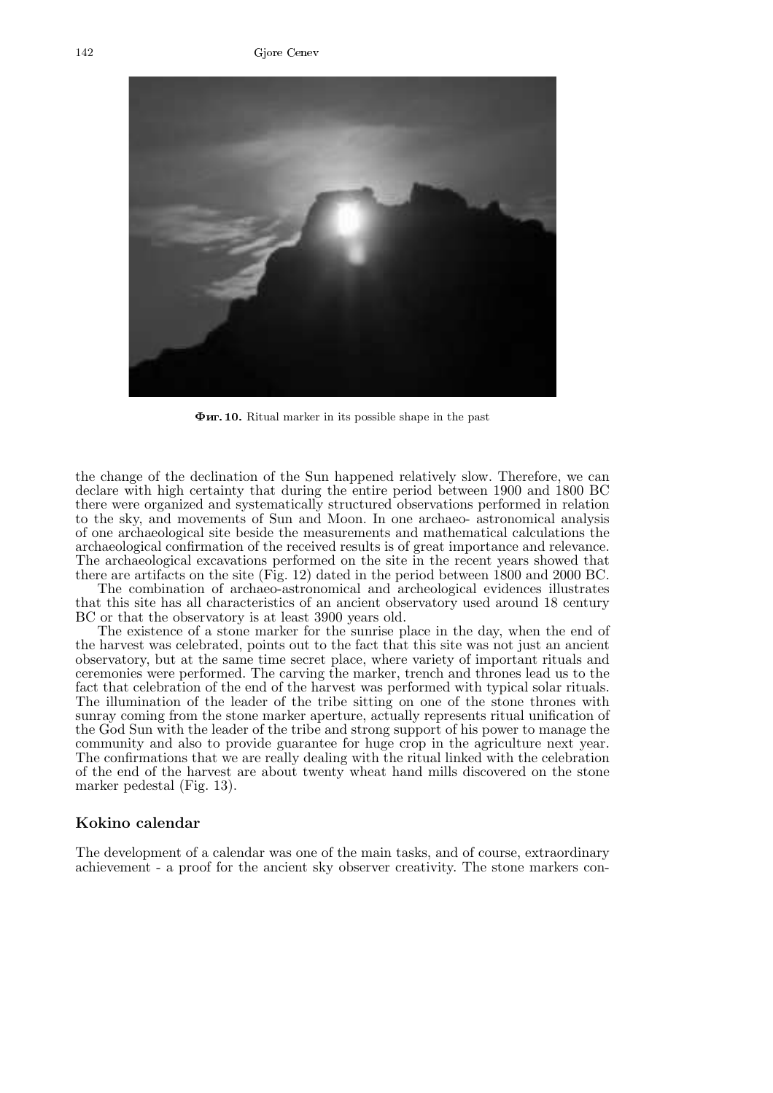

 $\Phi$ <sub>*Mr*</sub>. 10. Ritual marker in its possible shape in the past

the change of the declination of the Sun happened relatively slow. Therefore, we can declare with high certainty that during the entire period between 1900 and 1800 BC there were organized and systematically structured observations performed in relation to the sky, and movements of Sun and Moon. In one archaeo- astronomical analysis of one archaeological site beside the measurements and mathematical calculations the archaeological confirmation of the received results is of great importance and relevance. The archaeological excavations performed on the site in the recent years showed that there are artifacts on the site (Fig. 12) dated in the period between 1800 and 2000 BC.

The combination of archaeo-astronomical and archeological evidences illustrates that this site has all characteristics of an ancient observatory used around 18 century BC or that the observatory is at least 3900 years old.

The existence of a stone marker for the sunrise place in the day, when the end of the harvest was celebrated, points out to the fact that this site was not just an ancient observatory, but at the same time secret place, where variety of important rituals and ceremonies were performed. The carving the marker, trench and thrones lead us to the fact that celebration of the end of the harvest was performed with typical solar rituals. The illumination of the leader of the tribe sitting on one of the stone thrones with sunray coming from the stone marker aperture, actually represents ritual unification of the God Sun with the leader of the tribe and strong support of his power to manage the community and also to provide guarantee for huge crop in the agriculture next year. The confirmations that we are really dealing with the ritual linked with the celebration of the end of the harvest are about twenty wheat hand mills discovered on the stone marker pedestal (Fig. 13).

#### Kokino calendar

The development of a calendar was one of the main tasks, and of course, extraordinary achievement - a proof for the ancient sky observer creativity. The stone markers con-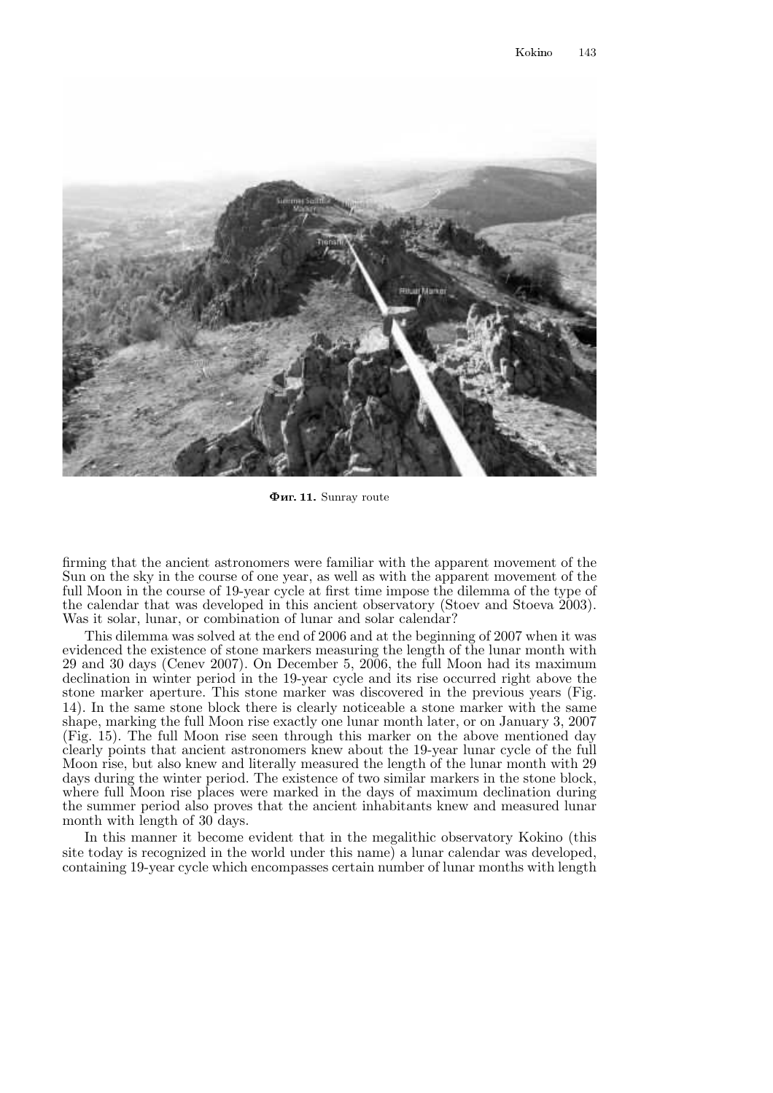

Фиг. 11. Sunray route

firming that the ancient astronomers were familiar with the apparent movement of the Sun on the sky in the course of one year, as well as with the apparent movement of the full Moon in the course of 19-year cycle at first time impose the dilemma of the type of the calendar that was developed in this ancient observatory (Stoev and Stoeva 2003). Was it solar, lunar, or combination of lunar and solar calendar?

This dilemma was solved at the end of 2006 and at the beginning of 2007 when it was evidenced the existence of stone markers measuring the length of the lunar month with 29 and 30 days (Cenev 2007). On December 5, 2006, the full Moon had its maximum declination in winter period in the 19-year cycle and its rise occurred right above the stone marker aperture. This stone marker was discovered in the previous years (Fig. 14). In the same stone block there is clearly noticeable a stone marker with the same shape, marking the full Moon rise exactly one lunar month later, or on January 3, 2007 (Fig. 15). The full Moon rise seen through this marker on the above mentioned day clearly points that ancient astronomers knew about the 19-year lunar cycle of the full Moon rise, but also knew and literally measured the length of the lunar month with 29 days during the winter period. The existence of two similar markers in the stone block, where full Moon rise places were marked in the days of maximum declination during the summer period also proves that the ancient inhabitants knew and measured lunar month with length of 30 days.

In this manner it become evident that in the megalithic observatory Kokino (this site today is recognized in the world under this name) a lunar calendar was developed, containing 19-year cycle which encompasses certain number of lunar months with length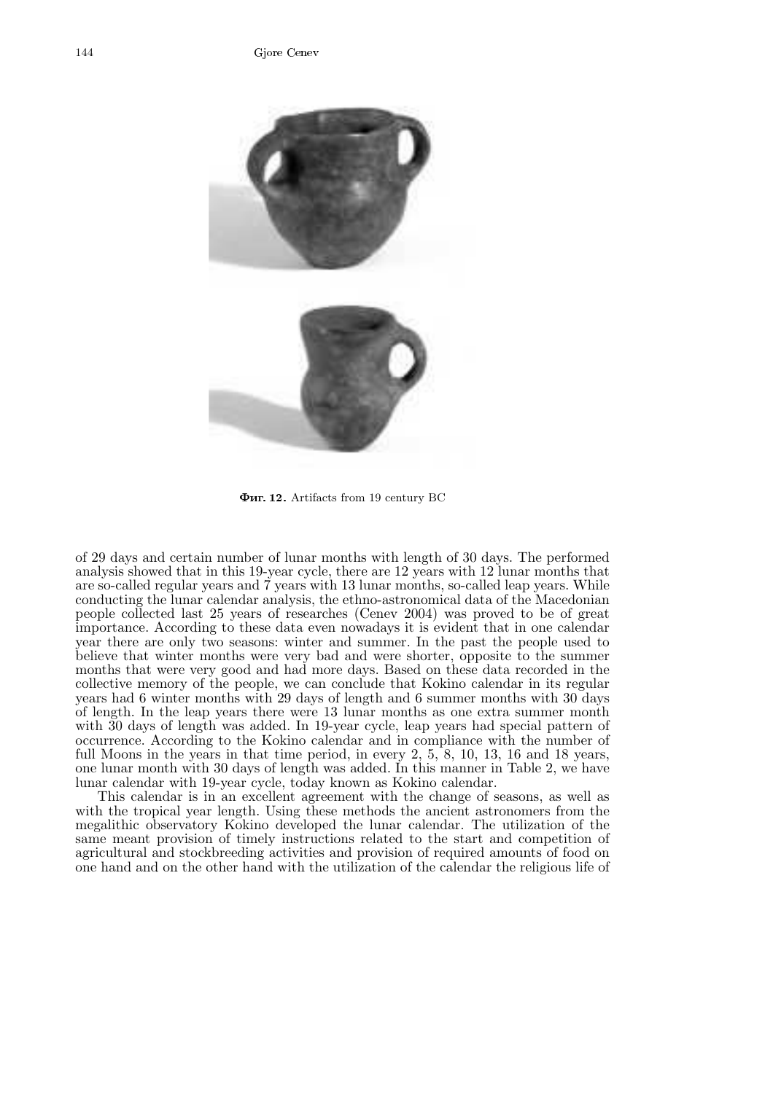

Фиг. 12. Artifacts from 19 century BC

of 29 days and certain number of lunar months with length of 30 days. The performed analysis showed that in this 19-year cycle, there are 12 years with 12 lunar months that are so-called regular years and 7 years with 13 lunar months, so-called leap years. While conducting the lunar calendar analysis, the ethno-astronomical data of the Macedonian people collected last 25 years of researches (Cenev 2004) was proved to be of great importance. According to these data even nowadays it is evident that in one calendar year there are only two seasons: winter and summer. In the past the people used to believe that winter months were very bad and were shorter, opposite to the summer months that were very good and had more days. Based on these data recorded in the collective memory of the people, we can conclude that Kokino calendar in its regular years had 6 winter months with 29 days of length and 6 summer months with 30 days of length. In the leap years there were 13 lunar months as one extra summer month with 30 days of length was added. In 19-year cycle, leap years had special pattern of occurrence. According to the Kokino calendar and in compliance with the number of full Moons in the years in that time period, in every 2, 5, 8, 10, 13, 16 and 18 years, one lunar month with 30 days of length was added. In this manner in Table 2, we have lunar calendar with 19-year cycle, today known as Kokino calendar.

This calendar is in an excellent agreement with the change of seasons, as well as with the tropical year length. Using these methods the ancient astronomers from the megalithic observatory Kokino developed the lunar calendar. The utilization of the same meant provision of timely instructions related to the start and competition of agricultural and stockbreeding activities and provision of required amounts of food on one hand and on the other hand with the utilization of the calendar the religious life of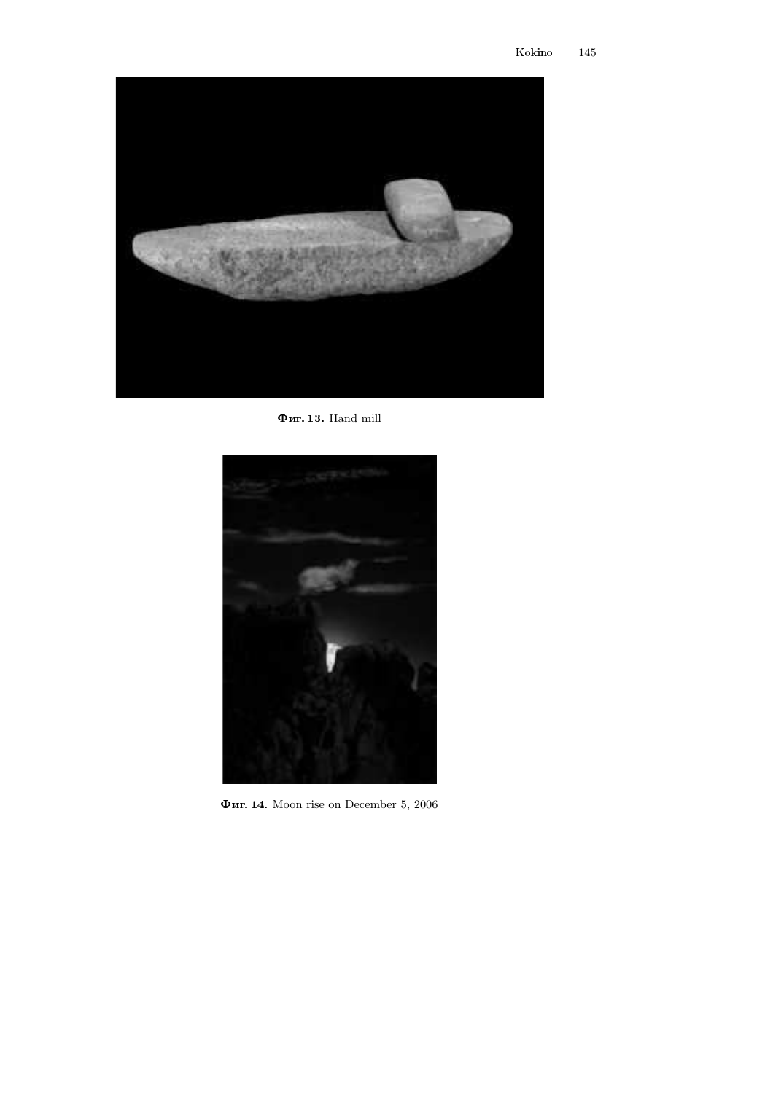

 $\Phi$ иг. 13. Hand mill



Ôèã. 14. Moon rise on December 5, 2006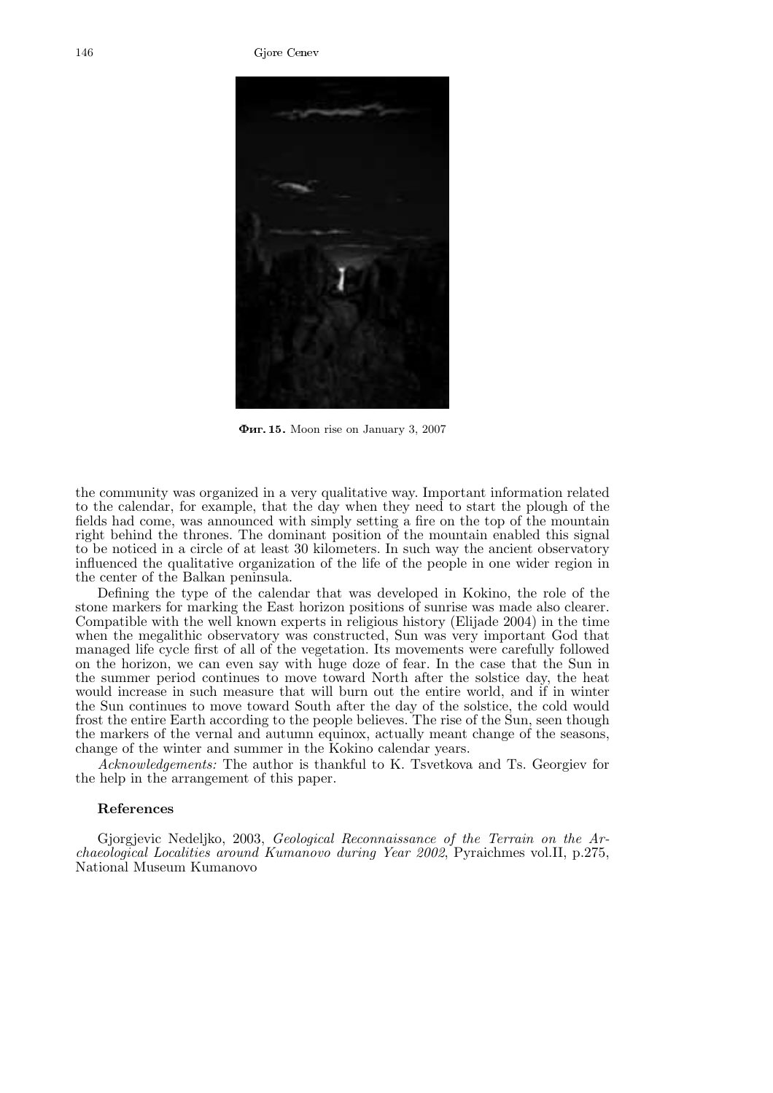

 $\Phi$ <sub>HT</sub>. 15. Moon rise on January 3, 2007

the community was organized in a very qualitative way. Important information related to the calendar, for example, that the day when they need to start the plough of the fields had come, was announced with simply setting a fire on the top of the mountain right behind the thrones. The dominant position of the mountain enabled this signal to be noticed in a circle of at least 30 kilometers. In such way the ancient observatory influenced the qualitative organization of the life of the people in one wider region in the center of the Balkan peninsula.

Defining the type of the calendar that was developed in Kokino, the role of the stone markers for marking the East horizon positions of sunrise was made also clearer. Compatible with the well known experts in religious history (Elijade 2004) in the time when the megalithic observatory was constructed, Sun was very important God that managed life cycle first of all of the vegetation. Its movements were carefully followed on the horizon, we can even say with huge doze of fear. In the case that the Sun in the summer period continues to move toward North after the solstice day, the heat would increase in such measure that will burn out the entire world, and if in winter the Sun continues to move toward South after the day of the solstice, the cold would frost the entire Earth according to the people believes. The rise of the Sun, seen though the markers of the vernal and autumn equinox, actually meant change of the seasons, change of the winter and summer in the Kokino calendar years.

Acknowledgements: The author is thankful to K. Tsvetkova and Ts. Georgiev for the help in the arrangement of this paper.

#### References

Gjorgjevic Nedeljko, 2003, Geological Reconnaissance of the Terrain on the Archaeological Localities around Kumanovo during Year 2002, Pyraichmes vol.II, p.275, National Museum Kumanovo